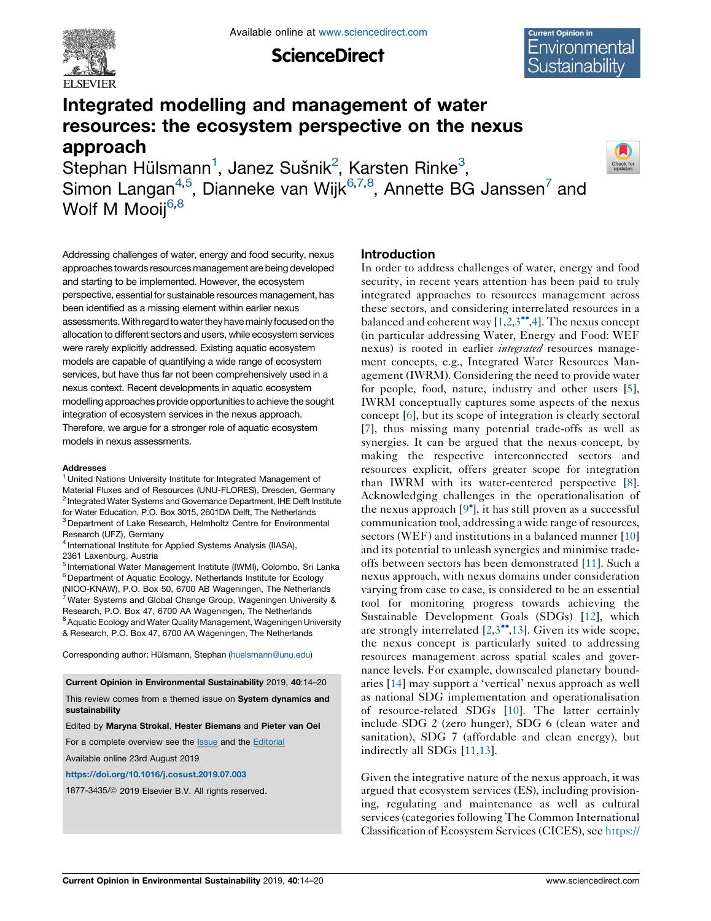

**ScienceDirect** 



# Integrated modelling and management of water resources: the ecosystem perspective on the nexus approach

Stephan Hülsmann<sup>1</sup>, Janez Sušnik<sup>2</sup>, Karsten Rinke<sup>3</sup>, Simon Langan $^{4,5}$ , Dianneke van Wijk $^{6,7,8}$ , Annette BG Janssen $^7$  and Wolf M Mooij<sup>6,8</sup>



Addressing challenges of water, energy and food security, nexus approaches towards resources management are being developed and starting to be implemented. However, the ecosystem perspective, essential for sustainable resources management, has been identified as a missing element within earlier nexus assessments.With regard towater they havemainlyfocused on the allocation to different sectors and users, while ecosystem services were rarely explicitly addressed. Existing aquatic ecosystem models are capable of quantifying a wide range of ecosystem services, but have thus far not been comprehensively used in a nexus context. Recent developments in aquatic ecosystem modelling approaches provide opportunities to achieve the sought integration of ecosystem services in the nexus approach. Therefore, we argue for a stronger role of aquatic ecosystem models in nexus assessments.

#### **Addresses**

<sup>1</sup> United Nations University Institute for Integrated Management of Material Fluxes and of Resources (UNU-FLORES), Dresden, Germany <sup>2</sup> Integrated Water Systems and Governance Department, IHE Delft Institute for Water Education, P.O. Box 3015, 2601DA Delft, The Netherlands <sup>3</sup> Department of Lake Research, Helmholtz Centre for Environmental Research (UFZ), Germany

<sup>4</sup> International Institute for Applied Systems Analysis (IIASA), 2361 Laxenburg, Austria

<sup>5</sup> International Water Management Institute (IWMI), Colombo, Sri Lanka <sup>6</sup> Department of Aquatic Ecology, Netherlands Institute for Ecology (NIOO-KNAW), P.O. Box 50, 6700 AB Wageningen, The Netherlands 7Water Systems and Global Change Group, Wageningen University & Research, P.O. Box 47, 6700 AA Wageningen, The Netherlands <sup>8</sup> Aquatic Ecology and Water Quality Management, Wageningen University & Research, P.O. Box 47, 6700 AA Wageningen, The Netherlands

Corresponding author: Hülsmann, Stephan [\(huelsmann@unu.edu](mailto:huelsmann@unu.edu))

Current Opinion in Environmental Sustainability 2019, 40:14–20

This review comes from a themed issue on System dynamics and sustainability

Edited by Maryna Strokal, Hester Biemans and Pieter van Oel

For a complete overview see the **[Issue](http://www.sciencedirect.com/science/journal/18773435/40)** and the [Editorial](https://doi.org/10.1016/j.cosust.2019.11.007)

Available online 23rd August 2019

<https://doi.org/10.1016/j.cosust.2019.07.003>

1877-3435/@ 2019 Elsevier B.V. All rights reserved.

## Introduction

In order to address challenges of water, energy and food security, in recent years attention has been paid to truly integrated approaches to resources management across these sectors, and considering interrelated resources in a balanced and coherent way  $[1,2,3^{\bullet\bullet},4]$  $[1,2,3^{\bullet\bullet},4]$  $[1,2,3^{\bullet\bullet},4]$  $[1,2,3^{\bullet\bullet},4]$  $[1,2,3^{\bullet\bullet},4]$ . The nexus concept (in particular addressing Water, Energy and Food: WEF nexus) is rooted in earlier *integrated* resources management concepts, e.g., Integrated Water Resources Management (IWRM). Considering the need to provide water for people, food, nature, industry and other users [[5](#page-5-0)], IWRM conceptually captures some aspects of the nexus concept [\[6](#page-5-0)], but its scope of integration is clearly sectoral [\[7](#page-5-0)], thus missing many potential trade-offs as well as synergies. It can be argued that the nexus concept, by making the respective interconnected sectors and resources explicit, offers greater scope for integration than IWRM with its water-centered perspective [[8](#page-5-0)]. Acknowledging challenges in the operationalisation of the nexus approach  $[9^{\circ}]$  $[9^{\circ}]$ , it has still proven as a successful communication tool, addressing a wide range of resources, sectors (WEF) and institutions in a balanced manner [\[10\]](#page-5-0) and its potential to unleash synergies and minimise tradeoffs between sectors has been demonstrated [[11\]](#page-5-0). Such a nexus approach, with nexus domains under consideration varying from case to case, is considered to be an essential tool for monitoring progress towards achieving the Sustainable Development Goals (SDGs) [[12\]](#page-5-0), which are strongly interrelated  $[2,3^{\bullet\bullet},13]$  $[2,3^{\bullet\bullet},13]$  $[2,3^{\bullet\bullet},13]$  $[2,3^{\bullet\bullet},13]$ . Given its wide scope, the nexus concept is particularly suited to addressing resources management across spatial scales and governance levels. For example, downscaled planetary boundaries [[14\]](#page-5-0) may support a 'vertical' nexus approach as well as national SDG implementation and operationalisation of resource-related SDGs [\[10](#page-5-0)]. The latter certainly include SDG 2 (zero hunger), SDG 6 (clean water and sanitation), SDG 7 (affordable and clean energy), but indirectly all SDGs [\[11,13\]](#page-5-0).

Given the integrative nature of the nexus approach, it was argued that ecosystem services (ES), including provisioning, regulating and maintenance as well as cultural services (categories following The Common International Classification of Ecosystem Services (CICES), see [https://](https://cices.eu/)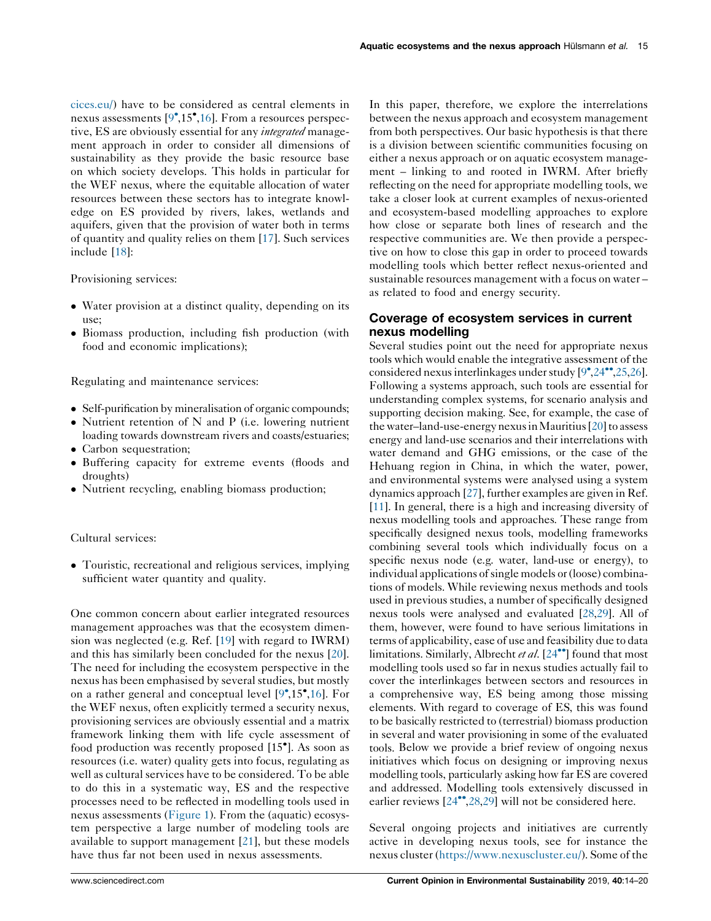[cices.eu/](https://cices.eu/)) have to be considered as central elements in nexus assessments [\[9](#page-5-0)<sup>°</sup>,15<sup>°</sup>[,16](#page-5-0)]. From a resources perspective, ES are obviously essential for any *integrated* management approach in order to consider all dimensions of sustainability as they provide the basic resource base on which society develops. This holds in particular for the WEF nexus, where the equitable allocation of water resources between these sectors has to integrate knowledge on ES provided by rivers, lakes, wetlands and aquifers, given that the provision of water both in terms of quantity and quality relies on them [\[17](#page-5-0)]. Such services include [\[18](#page-5-0)]:

Provisioning services:

- Water provision at a distinct quality, depending on its use;
- Biomass production, including fish production (with food and economic implications);

Regulating and maintenance services:

- Self-purification by mineralisation of organic compounds;
- $\bullet$  Nutrient retention of N and P (i.e. lowering nutrient loading towards downstream rivers and coasts/estuaries;
- Carbon sequestration;
- Buffering capacity for extreme events (floods and droughts)
- Nutrient recycling, enabling biomass production;

## Cultural services:

• Touristic, recreational and religious services, implying sufficient water quantity and quality.

One common concern about earlier integrated resources management approaches was that the ecosystem dimension was neglected (e.g. Ref. [\[19](#page-5-0)] with regard to IWRM) and this has similarly been concluded for the nexus [\[20](#page-5-0)]. The need for including the ecosystem perspective in the nexus has been emphasised by several studies, but mostly on a rather general and conceptual level [\[9](#page-5-0) ,15 [,16](#page-5-0)]. For the WEF nexus, often explicitly termed a security nexus, provisioning services are obviously essential and a matrix framework linking them with life cycle assessment of food production was recently proposed [15 ]. As soon as resources (i.e. water) quality gets into focus, regulating as well as cultural services have to be considered. To be able to do this in a systematic way, ES and the respective processes need to be reflected in modelling tools used in nexus assessments ([Figure](#page-2-0) 1). From the (aquatic) ecosystem perspective a large number of modeling tools are available to support management [[21\]](#page-5-0), but these models have thus far not been used in nexus assessments.

In this paper, therefore, we explore the interrelations between the nexus approach and ecosystem management from both perspectives. Our basic hypothesis is that there is a division between scientific communities focusing on either a nexus approach or on aquatic ecosystem management – linking to and rooted in IWRM. After briefly reflecting on the need for appropriate modelling tools, we take a closer look at current examples of nexus-oriented and ecosystem-based modelling approaches to explore how close or separate both lines of research and the respective communities are. We then provide a perspective on how to close this gap in order to proceed towards modelling tools which better reflect nexus-oriented and sustainable resources management with a focus on water – as related to food and energy security.

# Coverage of ecosystem services in current nexus modelling

Several studies point out the need for appropriate nexus tools which would enable the integrative assessment of the considered nexus interlinkages under study  $[9^{\bullet}, 24^{\bullet \bullet}, 25, 26]$  $[9^{\bullet}, 24^{\bullet \bullet}, 25, 26]$  $[9^{\bullet}, 24^{\bullet \bullet}, 25, 26]$ . Following a systems approach, such tools are essential for understanding complex systems, for scenario analysis and supporting decision making. See, for example, the case of the water–land-use-energy nexus in Mauritius  $[20]$  $[20]$  to assess energy and land-use scenarios and their interrelations with water demand and GHG emissions, or the case of the Hehuang region in China, in which the water, power, and environmental systems were analysed using a system dynamics approach [\[27\]](#page-5-0), further examples are given in Ref. [\[11](#page-5-0)]. In general, there is a high and increasing diversity of nexus modelling tools and approaches. These range from specifically designed nexus tools, modelling frameworks combining several tools which individually focus on a specific nexus node (e.g. water, land-use or energy), to individual applications of single models or (loose) combinations of models. While reviewing nexus methods and tools used in previous studies, a number of specifically designed nexus tools were analysed and evaluated [\[28,29](#page-5-0)]. All of them, however, were found to have serious limitations in terms of applicability, ease of use and feasibility due to data limitations. Similarly, Albrecht et al.  $[24\text{ }^{\bullet\bullet}]$  $[24\text{ }^{\bullet\bullet}]$  $[24\text{ }^{\bullet\bullet}]$  found that most modelling tools used so far in nexus studies actually fail to cover the interlinkages between sectors and resources in a comprehensive way, ES being among those missing elements. With regard to coverage of ES, this was found to be basically restricted to (terrestrial) biomass production in several and water provisioning in some of the evaluated tools. Below we provide a brief review of ongoing nexus initiatives which focus on designing or improving nexus modelling tools, particularly asking how far ES are covered and addressed. Modelling tools extensively discussed in earlier reviews  $[24^{\bullet\bullet}, 28, 29]$  $[24^{\bullet\bullet}, 28, 29]$  $[24^{\bullet\bullet}, 28, 29]$  will not be considered here.

Several ongoing projects and initiatives are currently active in developing nexus tools, see for instance the nexus cluster [\(https://www.nexuscluster.eu/\)](https://www.nexuscluster.eu/). Some of the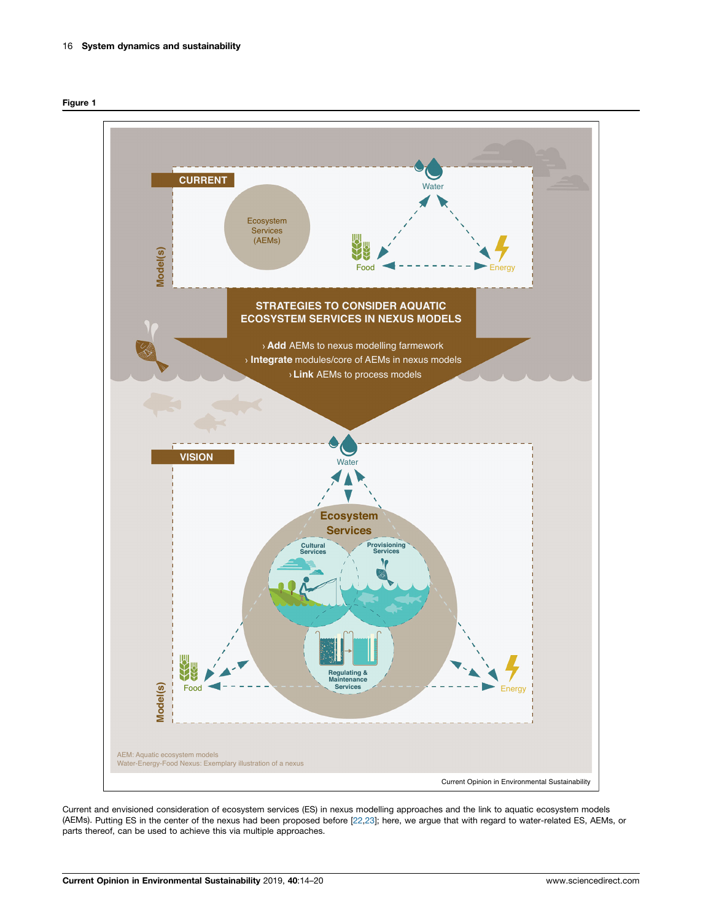<span id="page-2-0"></span>



Current and envisioned consideration of ecosystem services (ES) in nexus modelling approaches and the link to aquatic ecosystem models (AEMs). Putting ES in the center of the nexus had been proposed before [\[22,23\]](#page-5-0); here, we argue that with regard to water-related ES, AEMs, or parts thereof, can be used to achieve this via multiple approaches.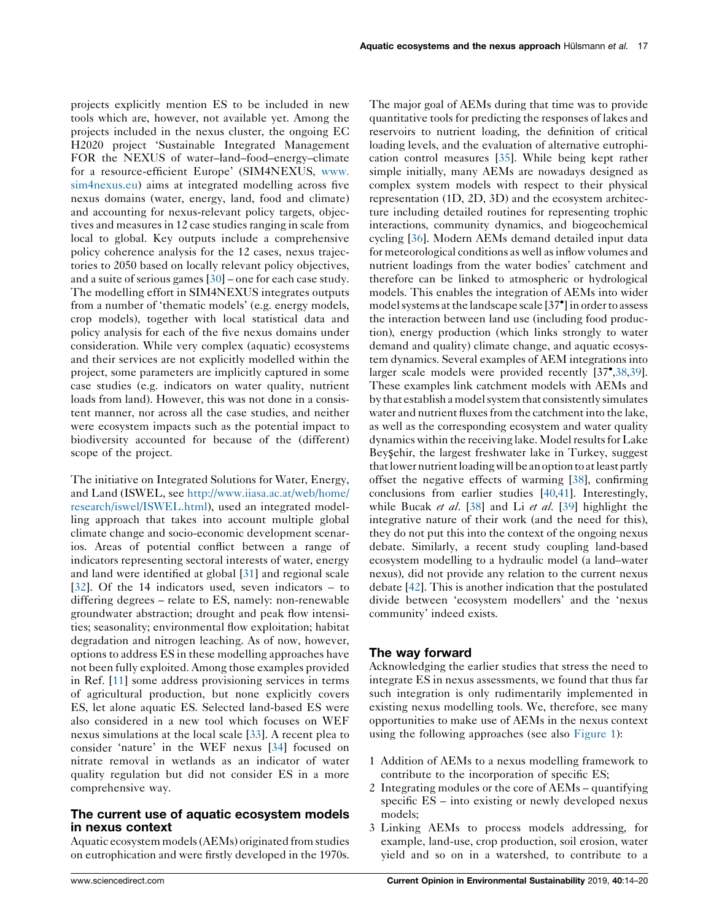projects explicitly mention ES to be included in new tools which are, however, not available yet. Among the projects included in the nexus cluster, the ongoing EC H2020 project 'Sustainable Integrated Management FOR the NEXUS of water–land–food–energy–climate for a resource-efficient Europe' (SIM4NEXUS, [www.](http://www.sim4nexus.eu) [sim4nexus.eu\)](http://www.sim4nexus.eu) aims at integrated modelling across five nexus domains (water, energy, land, food and climate) and accounting for nexus-relevant policy targets, objectives and measures in 12 case studies ranging in scale from local to global. Key outputs include a comprehensive policy coherence analysis for the 12 cases, nexus trajectories to 2050 based on locally relevant policy objectives, and a suite of serious games [[30\]](#page-6-0) – one for each case study. The modelling effort in SIM4NEXUS integrates outputs from a number of 'thematic models' (e.g. energy models, crop models), together with local statistical data and policy analysis for each of the five nexus domains under consideration. While very complex (aquatic) ecosystems and their services are not explicitly modelled within the project, some parameters are implicitly captured in some case studies (e.g. indicators on water quality, nutrient loads from land). However, this was not done in a consistent manner, nor across all the case studies, and neither were ecosystem impacts such as the potential impact to biodiversity accounted for because of the (different) scope of the project.

The initiative on Integrated Solutions for Water, Energy, and Land (ISWEL, see [http://www.iiasa.ac.at/web/home/](http://www.iiasa.ac.at/web/home/research/iswel/ISWEL.html) [research/iswel/ISWEL.html\)](http://www.iiasa.ac.at/web/home/research/iswel/ISWEL.html), used an integrated modelling approach that takes into account multiple global climate change and socio-economic development scenarios. Areas of potential conflict between a range of indicators representing sectoral interests of water, energy and land were identified at global [[31\]](#page-6-0) and regional scale [\[32](#page-6-0)]. Of the 14 indicators used, seven indicators – to differing degrees – relate to ES, namely: non-renewable groundwater abstraction; drought and peak flow intensities; seasonality; environmental flow exploitation; habitat degradation and nitrogen leaching. As of now, however, options to address ES in these modelling approaches have not been fully exploited. Among those examples provided in Ref. [\[11](#page-5-0)] some address provisioning services in terms of agricultural production, but none explicitly covers ES, let alone aquatic ES. Selected land-based ES were also considered in a new tool which focuses on WEF nexus simulations at the local scale [\[33](#page-6-0)]. A recent plea to consider 'nature' in the WEF nexus [\[34](#page-6-0)] focused on nitrate removal in wetlands as an indicator of water quality regulation but did not consider ES in a more comprehensive way.

# The current use of aquatic ecosystem models in nexus context

Aquatic ecosystem models(AEMs) originated from studies on eutrophication and were firstly developed in the 1970s. The major goal of AEMs during that time was to provide quantitative tools for predicting the responses of lakes and reservoirs to nutrient loading, the definition of critical loading levels, and the evaluation of alternative eutrophication control measures [[35\]](#page-6-0). While being kept rather simple initially, many AEMs are nowadays designed as complex system models with respect to their physical representation (1D, 2D, 3D) and the ecosystem architecture including detailed routines for representing trophic interactions, community dynamics, and biogeochemical cycling [\[36](#page-6-0)]. Modern AEMs demand detailed input data for meteorological conditions as well asinflow volumes and nutrient loadings from the water bodies' catchment and therefore can be linked to atmospheric or hydrological models. This enables the integration of AEMs into wider model systems at the landscape scale [37<sup>°</sup>] in order to assess the interaction between land use (including food production), energy production (which links strongly to water demand and quality) climate change, and aquatic ecosystem dynamics. Several examples of AEM integrations into larger scale models were provided recently [37<sup>°</sup>[,38](#page-6-0),[39\]](#page-6-0). These examples link catchment models with AEMs and by that establish a model system that consistently simulates water and nutrient fluxes from the catchment into the lake, as well as the corresponding ecosystem and water quality dynamics within the receiving lake. Model resultsfor Lake Beyşehir, the largest freshwater lake in Turkey, suggest that lower nutrient loading will be an option to at least partly offset the negative effects of warming [\[38](#page-6-0)], confirming conclusions from earlier studies [[40](#page-6-0),[41\]](#page-6-0). Interestingly, while Bucak *et al.* [[38\]](#page-6-0) and Li *et al.* [[39\]](#page-6-0) highlight the integrative nature of their work (and the need for this), they do not put this into the context of the ongoing nexus debate. Similarly, a recent study coupling land-based ecosystem modelling to a hydraulic model (a land–water nexus), did not provide any relation to the current nexus debate [\[42](#page-6-0)]. This is another indication that the postulated divide between 'ecosystem modellers' and the 'nexus community' indeed exists.

## The way forward

Acknowledging the earlier studies that stress the need to integrate ES in nexus assessments, we found that thus far such integration is only rudimentarily implemented in existing nexus modelling tools. We, therefore, see many opportunities to make use of AEMs in the nexus context using the following approaches (see also [Figure](#page-2-0) 1):

- 1 Addition of AEMs to a nexus modelling framework to contribute to the incorporation of specific ES;
- 2 Integrating modules or the core of AEMs quantifying specific ES – into existing or newly developed nexus models;
- 3 Linking AEMs to process models addressing, for example, land-use, crop production, soil erosion, water yield and so on in a watershed, to contribute to a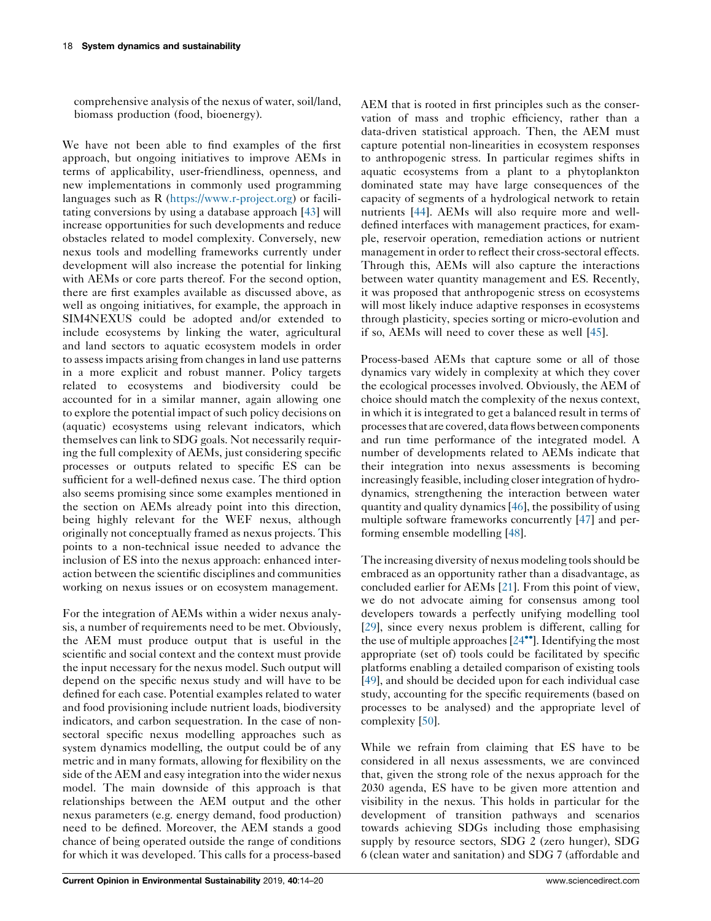comprehensive analysis of the nexus of water, soil/land, biomass production (food, bioenergy).

We have not been able to find examples of the first approach, but ongoing initiatives to improve AEMs in terms of applicability, user-friendliness, openness, and new implementations in commonly used programming languages such as R [\(https://www.r-project.org\)](https://www.r-project.org) or facilitating conversions by using a database approach [\[43](#page-6-0)] will increase opportunities for such developments and reduce obstacles related to model complexity. Conversely, new nexus tools and modelling frameworks currently under development will also increase the potential for linking with AEMs or core parts thereof. For the second option, there are first examples available as discussed above, as well as ongoing initiatives, for example, the approach in SIM4NEXUS could be adopted and/or extended to include ecosystems by linking the water, agricultural and land sectors to aquatic ecosystem models in order to assess impacts arising from changes in land use patterns in a more explicit and robust manner. Policy targets related to ecosystems and biodiversity could be accounted for in a similar manner, again allowing one to explore the potential impact of such policy decisions on (aquatic) ecosystems using relevant indicators, which themselves can link to SDG goals. Not necessarily requiring the full complexity of AEMs, just considering specific processes or outputs related to specific ES can be sufficient for a well-defined nexus case. The third option also seems promising since some examples mentioned in the section on AEMs already point into this direction, being highly relevant for the WEF nexus, although originally not conceptually framed as nexus projects. This points to a non-technical issue needed to advance the inclusion of ES into the nexus approach: enhanced interaction between the scientific disciplines and communities working on nexus issues or on ecosystem management.

For the integration of AEMs within a wider nexus analysis, a number of requirements need to be met. Obviously, the AEM must produce output that is useful in the scientific and social context and the context must provide the input necessary for the nexus model. Such output will depend on the specific nexus study and will have to be defined for each case. Potential examples related to water and food provisioning include nutrient loads, biodiversity indicators, and carbon sequestration. In the case of nonsectoral specific nexus modelling approaches such as system dynamics modelling, the output could be of any metric and in many formats, allowing for flexibility on the side of the AEM and easy integration into the wider nexus model. The main downside of this approach is that relationships between the AEM output and the other nexus parameters (e.g. energy demand, food production) need to be defined. Moreover, the AEM stands a good chance of being operated outside the range of conditions for which it was developed. This calls for a process-based

AEM that is rooted in first principles such as the conservation of mass and trophic efficiency, rather than a data-driven statistical approach. Then, the AEM must capture potential non-linearities in ecosystem responses to anthropogenic stress. In particular regimes shifts in aquatic ecosystems from a plant to a phytoplankton dominated state may have large consequences of the capacity of segments of a hydrological network to retain nutrients [\[44\]](#page-6-0). AEMs will also require more and welldefined interfaces with management practices, for example, reservoir operation, remediation actions or nutrient management in order to reflect their cross-sectoral effects. Through this, AEMs will also capture the interactions between water quantity management and ES. Recently, it was proposed that anthropogenic stress on ecosystems will most likely induce adaptive responses in ecosystems through plasticity, species sorting or micro-evolution and if so, AEMs will need to cover these as well [[45\]](#page-6-0).

Process-based AEMs that capture some or all of those dynamics vary widely in complexity at which they cover the ecological processes involved. Obviously, the AEM of choice should match the complexity of the nexus context, in which it is integrated to get a balanced result in terms of processesthat are covered, data flows between components and run time performance of the integrated model. A number of developments related to AEMs indicate that their integration into nexus assessments is becoming increasingly feasible, including closer integration of hydrodynamics, strengthening the interaction between water quantity and quality dynamics[\[46\]](#page-6-0), the possibility of using multiple software frameworks concurrently [\[47](#page-6-0)] and performing ensemble modelling [\[48](#page-6-0)].

The increasing diversity of nexus modeling tools should be embraced as an opportunity rather than a disadvantage, as concluded earlier for AEMs [\[21](#page-5-0)]. From this point of view, we do not advocate aiming for consensus among tool developers towards a perfectly unifying modelling tool [\[29](#page-5-0)], since every nexus problem is different, calling for the use of multiple approaches  $[24\bullet]$  $[24\bullet]$ . Identifying the most appropriate (set of) tools could be facilitated by specific platforms enabling a detailed comparison of existing tools [\[49](#page-6-0)], and should be decided upon for each individual case study, accounting for the specific requirements (based on processes to be analysed) and the appropriate level of complexity [[50\]](#page-6-0).

While we refrain from claiming that ES have to be considered in all nexus assessments, we are convinced that, given the strong role of the nexus approach for the 2030 agenda, ES have to be given more attention and visibility in the nexus. This holds in particular for the development of transition pathways and scenarios towards achieving SDGs including those emphasising supply by resource sectors, SDG 2 (zero hunger), SDG 6 (clean water and sanitation) and SDG 7 (affordable and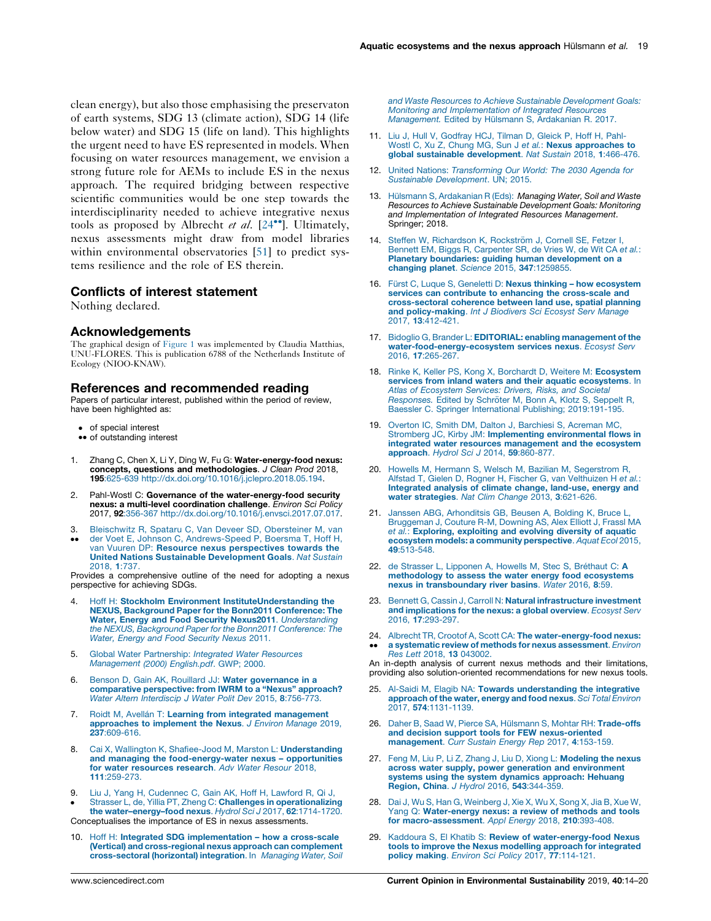<span id="page-5-0"></span>clean energy), but also those emphasising the preservaton of earth systems, SDG 13 (climate action), SDG 14 (life below water) and SDG 15 (life on land). This highlights the urgent need to have ES represented in models. When focusing on water resources management, we envision a strong future role for AEMs to include ES in the nexus approach. The required bridging between respective scientific communities would be one step towards the interdisciplinarity needed to achieve integrative nexus tools as proposed by Albrecht et al.  $[24\text{'''}]$ . Ultimately, nexus assessments might draw from model libraries within environmental observatories [[51\]](#page-6-0) to predict systems resilience and the role of ES therein.

## Conflicts of interest statement

Nothing declared.

### Acknowledgements

The graphical design of [Figure](#page-2-0) 1 was implemented by Claudia Matthias, UNU-FLORES. This is publication 6788 of the Netherlands Institute of Ecology (NIOO-KNAW).

### References and recommended reading

Papers of particular interest, published within the period of review, have been highlighted as:

- of special interest
- •• of outstanding interest
- 1. Zhang C, Chen X, Li Y, Ding W, Fu G: Water-energy-food nexus: concepts, questions and methodologies. J Clean Prod 2018, 195:625-639 <http://dx.doi.org/10.1016/j.jclepro.2018.05.194>.
- 2. Pahl-Wostl C: Governance of the water-energy-food security nexus: a multi-level coordination challenge. Environ Sci Policy 2017, 92:356-367 <http://dx.doi.org/10.1016/j.envsci.2017.07.017>.
- 3.  $\ddot{\phantom{0}}$ Bleischwitz R, Spataru C, Van Deveer SD, [Obersteiner](http://refhub.elsevier.com/S1877-3435(19)30030-2/sbref0015) M, van der Voet E, Johnson C, [Andrews-Speed](http://refhub.elsevier.com/S1877-3435(19)30030-2/sbref0015) P, Boersma T, Hoff H, van Vuuren DP: Resource nexus [perspectives](http://refhub.elsevier.com/S1877-3435(19)30030-2/sbref0015) towards the United Nations Sustainable [Development](http://refhub.elsevier.com/S1877-3435(19)30030-2/sbref0015) Goals. Nat Sustain [2018,](http://refhub.elsevier.com/S1877-3435(19)30030-2/sbref0015) 1:737.

Provides a comprehensive outline of the need for adopting a nexus perspective for achieving SDGs.

- 4. Hoff H: Stockholm Environment [InstituteUnderstanding](http://refhub.elsevier.com/S1877-3435(19)30030-2/sbref0020) the NEXUS, [Background](http://refhub.elsevier.com/S1877-3435(19)30030-2/sbref0020) Paper for the Bonn2011 Conference: The Water, Energy and Food Security Nexus2011. [Understanding](http://refhub.elsevier.com/S1877-3435(19)30030-2/sbref0020) the NEXUS, Background Paper for the Bonn2011 [Conference:](http://refhub.elsevier.com/S1877-3435(19)30030-2/sbref0020) The Water, Energy and Food [Security](http://refhub.elsevier.com/S1877-3435(19)30030-2/sbref0020) Nexus 2011.
- 5. Global Water [Partnership:](http://refhub.elsevier.com/S1877-3435(19)30030-2/sbref0025) Integrated Water Resources [Management](http://refhub.elsevier.com/S1877-3435(19)30030-2/sbref0025) (2000) English.pdf. GWP; 2000.
- 6. Benson D, Gain AK, Rouillard JJ: Water [governance](http://refhub.elsevier.com/S1877-3435(19)30030-2/sbref0030) in a [comparative](http://refhub.elsevier.com/S1877-3435(19)30030-2/sbref0030) perspective: from IWRM to a "Nexus" approach? Water Altern [Interdiscip](http://refhub.elsevier.com/S1877-3435(19)30030-2/sbref0030) J Water Polit Dev 2015, 8:756-773.
- 7. Roidt M, Avellán T: Learning from integrated [management](http://refhub.elsevier.com/S1877-3435(19)30030-2/sbref0035) [approaches](http://refhub.elsevier.com/S1877-3435(19)30030-2/sbref0035) to implement the Nexus. J Environ Manage 2019, 237[:609-616.](http://refhub.elsevier.com/S1877-3435(19)30030-2/sbref0035)
- 8. Cai X, Wallington K, Shafiee-Jood M, Marston L: [Understanding](http://refhub.elsevier.com/S1877-3435(19)30030-2/sbref0040) and managing the [food-energy-water](http://refhub.elsevier.com/S1877-3435(19)30030-2/sbref0040) nexus – opportunities for water [resources](http://refhub.elsevier.com/S1877-3435(19)30030-2/sbref0040) research. Adv Water Resour 2018, 111[:259-273.](http://refhub.elsevier.com/S1877-3435(19)30030-2/sbref0040)
- 9.  $\bullet$ Liu J, Yang H, [Cudennec](http://refhub.elsevier.com/S1877-3435(19)30030-2/sbref0045) C, Gain AK, Hoff H, Lawford R, Qi J,<br>Strasser L, de, Yillia PT, Zheng C: **Challenges in [operationalizing](http://refhub.elsevier.com/S1877-3435(19)30030-2/sbref0045)** the water-energy-food nexus. Hydrol Sci J 2017, 62:1714-1720. Conceptualises the importance of ES in nexus assessments.
- 10. Hoff H: Integrated SDG [implementation](http://refhub.elsevier.com/S1877-3435(19)30030-2/sbref0050) how a cross-scale (Vertical) and [cross-regional](http://refhub.elsevier.com/S1877-3435(19)30030-2/sbref0050) nexus approach can complement [cross-sectoral](http://refhub.elsevier.com/S1877-3435(19)30030-2/sbref0050) (horizontal) integration. In Managing Water, Soil

and Waste Resources to Achieve Sustainable [Development](http://refhub.elsevier.com/S1877-3435(19)30030-2/sbref0050) Goals: Monitoring and [Implementation](http://refhub.elsevier.com/S1877-3435(19)30030-2/sbref0050) of Integrated Resources [Management.](http://refhub.elsevier.com/S1877-3435(19)30030-2/sbref0050) Edited by Hülsmann S, Ardakanian R. 2017.

- 11. Liu J, Hull V, [Godfray](http://refhub.elsevier.com/S1877-3435(19)30030-2/sbref0055) HCJ, Tilman D, Gleick P, Hoff H, Pahl-<br>Wostl C, Xu Z, Chung MG, Sun J e*t al*.: **Nexus [approaches](http://refhub.elsevier.com/S1877-3435(19)30030-2/sbref0055) to** global sustainable [development](http://refhub.elsevier.com/S1877-3435(19)30030-2/sbref0055). Nat Sustain 2018, 1:466-476.
- 12. United Nations: [Transforming](http://refhub.elsevier.com/S1877-3435(19)30030-2/sbref0060) Our World: The 2030 Agenda for Sustainable [Development](http://refhub.elsevier.com/S1877-3435(19)30030-2/sbref0060). UN; 2015.
- 13. Hülsmann S, [Ardakanian](http://refhub.elsevier.com/S1877-3435(19)30030-2/sbref0065) R (Eds): Managing Water, Soil and Waste Resources to Achieve Sustainable [Development](http://refhub.elsevier.com/S1877-3435(19)30030-2/sbref0065) Goals: Monitoring and [Implementation](http://refhub.elsevier.com/S1877-3435(19)30030-2/sbref0065) of Integrated Resources Management. Springer; 2018.
- 14. Steffen W, [Richardson](http://refhub.elsevier.com/S1877-3435(19)30030-2/sbref0070) K, Rockström J, Cornell SE, Fetzer I, Bennett EM, Biggs R, [Carpenter](http://refhub.elsevier.com/S1877-3435(19)30030-2/sbref0070) SR, de Vries W, de Wit CA et al.: Planetary boundaries: guiding human [development](http://refhub.elsevier.com/S1877-3435(19)30030-2/sbref0070) on a changing planet. Science 2015, 347[:1259855.](http://refhub.elsevier.com/S1877-3435(19)30030-2/sbref0070)
- 16. Fürst C, Luque S, Geneletti D: Nexus thinking how [ecosystem](http://refhub.elsevier.com/S1877-3435(19)30030-2/sbref0075) services can contribute to enhancing the [cross-scale](http://refhub.elsevier.com/S1877-3435(19)30030-2/sbref0075) and [cross-sectoral](http://refhub.elsevier.com/S1877-3435(19)30030-2/sbref0075) coherence between land use, spatial planning and [policy-making](http://refhub.elsevier.com/S1877-3435(19)30030-2/sbref0075). Int J Biodivers Sci Ecosyst Serv Manage 2017, 13[:412-421.](http://refhub.elsevier.com/S1877-3435(19)30030-2/sbref0075)
- 17. Bidoglio G, Brander L: EDITORIAL: enabling [management](http://refhub.elsevier.com/S1877-3435(19)30030-2/sbref0080) of the [water-food-energy-ecosystem](http://refhub.elsevier.com/S1877-3435(19)30030-2/sbref0080) services nexus. Ecosyst Serv 2016, 17[:265-267.](http://refhub.elsevier.com/S1877-3435(19)30030-2/sbref0080)
- 18. Rinke K, Keller PS, Kong X, Borchardt D, Weitere M: [Ecosystem](http://refhub.elsevier.com/S1877-3435(19)30030-2/sbref0085) services from inland waters and their aquatic [ecosystems](http://refhub.elsevier.com/S1877-3435(19)30030-2/sbref0085). In Atlas of [Ecosystem](http://refhub.elsevier.com/S1877-3435(19)30030-2/sbref0085) Services: Drivers, Risks, and Societal [Responses.](http://refhub.elsevier.com/S1877-3435(19)30030-2/sbref0085) Edited by Schröter M, Bonn A, Klotz S, Seppelt R, Baessler C. Springer International Publishing; [2019:191-195](http://refhub.elsevier.com/S1877-3435(19)30030-2/sbref0085).
- 19. Overton IC, Smith DM, Dalton J, [Barchiesi](http://refhub.elsevier.com/S1877-3435(19)30030-2/sbref0090) S, Acreman MC, Stromberg JC, Kirby JM: Implementing [environmental](http://refhub.elsevier.com/S1877-3435(19)30030-2/sbref0090) flows in integrated water resources [management](http://refhub.elsevier.com/S1877-3435(19)30030-2/sbref0090) and the ecosystem [approach](http://refhub.elsevier.com/S1877-3435(19)30030-2/sbref0090). Hydrol Sci J 2014, 59:860-877.
- 20. Howells M, Hermann S, Welsch M, Bazilian M, [Segerstrom](http://refhub.elsevier.com/S1877-3435(19)30030-2/sbref0095) R, Alfstad T, Gielen D, Rogner H, Fischer G, van [Velthuizen](http://refhub.elsevier.com/S1877-3435(19)30030-2/sbref0095) H et al.: [Integrated](http://refhub.elsevier.com/S1877-3435(19)30030-2/sbref0095) analysis of climate change, land-use, energy and water [strategies](http://refhub.elsevier.com/S1877-3435(19)30030-2/sbref0095). Nat Clim Change 2013, 3:621-626.
- 21. Janssen ABG, [Arhonditsis](http://refhub.elsevier.com/S1877-3435(19)30030-2/sbref0100) GB, Beusen A, Bolding K, Bruce L, [Bruggeman](http://refhub.elsevier.com/S1877-3435(19)30030-2/sbref0100) J, Couture R-M, Downing AS, Alex Elliott J, Frassl MA et al.: [Exploring,](http://refhub.elsevier.com/S1877-3435(19)30030-2/sbref0100) exploiting and evolving diversity of aquatic ecosystem models: a community [perspective](http://refhub.elsevier.com/S1877-3435(19)30030-2/sbref0100). Aquat Ecol 2015, 49[:513-548.](http://refhub.elsevier.com/S1877-3435(19)30030-2/sbref0100)
- 22. de Strasser L, [Lipponen](http://refhub.elsevier.com/S1877-3435(19)30030-2/sbref0105) A, Howells M, Stec S, Bréthaut C: A [methodology](http://refhub.elsevier.com/S1877-3435(19)30030-2/sbref0105) to assess the water energy food ecosystems nexus in [transboundary](http://refhub.elsevier.com/S1877-3435(19)30030-2/sbref0105) river basins. Water 2016, 8:59.
- 23. Bennett G, Cassin J, Carroll N: Natural [infrastructure](http://refhub.elsevier.com/S1877-3435(19)30030-2/sbref0110) investment and [implications](http://refhub.elsevier.com/S1877-3435(19)30030-2/sbref0110) for the nexus: a global overview. Ecosyst Serv 2016, 17[:293-297.](http://refhub.elsevier.com/S1877-3435(19)30030-2/sbref0110)
- 24. Albrecht TR, Crootof A, Scott CA: The [water-energy-food](http://refhub.elsevier.com/S1877-3435(19)30030-2/sbref0115) nexus:  $\bullet$ a systematic review of methods for nexus [assessment](http://refhub.elsevier.com/S1877-3435(19)30030-2/sbref0115). Environ Res Lett 2018, 13 [043002.](http://refhub.elsevier.com/S1877-3435(19)30030-2/sbref0115)

An in-depth analysis of current nexus methods and their limitations, providing also solution-oriented recommendations for new nexus tools.

- 25. Al-Saidi M, Elagib NA: Towards [understanding](http://refhub.elsevier.com/S1877-3435(19)30030-2/sbref0120) the integrative [approach](http://refhub.elsevier.com/S1877-3435(19)30030-2/sbref0120) of the water, energy and food nexus. Sci Total Environ 2017, 574[:1131-1139.](http://refhub.elsevier.com/S1877-3435(19)30030-2/sbref0120)
- 26. Daher B, Saad W, Pierce SA, Hülsmann S, Mohtar RH: [Trade-offs](http://refhub.elsevier.com/S1877-3435(19)30030-2/sbref0125) and decision support tools for FEW [nexus-oriented](http://refhub.elsevier.com/S1877-3435(19)30030-2/sbref0125) [management](http://refhub.elsevier.com/S1877-3435(19)30030-2/sbref0125). Curr Sustain Energy Rep 2017, 4:153-159.
- 27. Feng M, Liu P, Li Z, Zhang J, Liu D, Xiong L: [Modeling](http://refhub.elsevier.com/S1877-3435(19)30030-2/sbref0130) the nexus across water supply, power generation and [environment](http://refhub.elsevier.com/S1877-3435(19)30030-2/sbref0130) systems using the system dynamics [approach:](http://refhub.elsevier.com/S1877-3435(19)30030-2/sbref0130) Hehuang Region, China. J Hydrol 2016, 543[:344-359.](http://refhub.elsevier.com/S1877-3435(19)30030-2/sbref0130)
- 28. Dai J, Wu S, Han G, [Weinberg](http://refhub.elsevier.com/S1877-3435(19)30030-2/sbref0135) J, Xie X, Wu X, Song X, Jia B, Xue W, Yang Q: [Water-energy](http://refhub.elsevier.com/S1877-3435(19)30030-2/sbref0135) nexus: a review of methods and tools for [macro-assessment](http://refhub.elsevier.com/S1877-3435(19)30030-2/sbref0135). Appl Energy 2018, 210:393-408.
- 29. Kaddoura S, El Khatib S: Review of [water-energy-food](http://refhub.elsevier.com/S1877-3435(19)30030-2/sbref0140) Nexus tools to improve the Nexus modelling approach for [integrated](http://refhub.elsevier.com/S1877-3435(19)30030-2/sbref0140) policy making. Environ Sci Policy 2017, 77[:114-121.](http://refhub.elsevier.com/S1877-3435(19)30030-2/sbref0140)